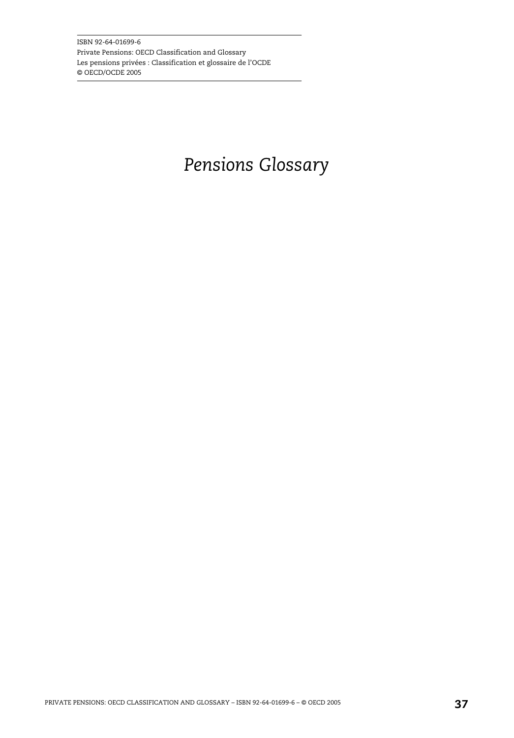ISBN 92-64-01699-6 Private Pensions: OECD Classification and Glossary Les pensions privées : Classification et glossaire de l'OCDE © OECD/OCDE 2005

## *Pensions Glossary*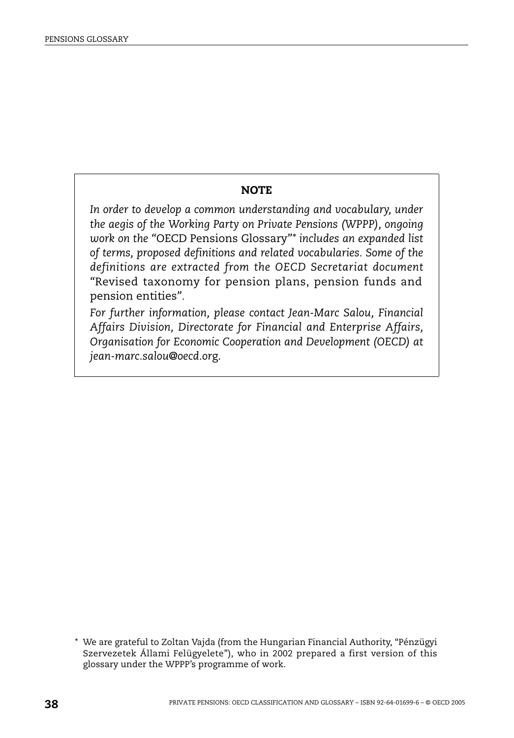## **NOTE**

*In order to develop a common understanding and vocabulary, under the aegis of the Working Party on Private Pensions (WPPP), ongoing work on the "*OECD Pensions Glossary*"\* includes an expanded list of terms, proposed definitions and related vocabularies. Some of the definitions are extracted from the OECD Secretariat document "*Revised taxonomy for pension plans, pension funds and pension entities*".* 

*For further information, please contact Jean-Marc Salou, Financial Affairs Division, Directorate for Financial and Enterprise Affairs, Organisation for Economic Cooperation and Development (OECD) at jean-marc.salou@oecd.or*g.

<sup>\*</sup> We are grateful to Zoltan Vajda (from the Hungarian Financial Authority, "Pénzügyi Szervezetek Állami Felügyelete"), who in 2002 prepared a first version of this glossary under the WPPP's programme of work.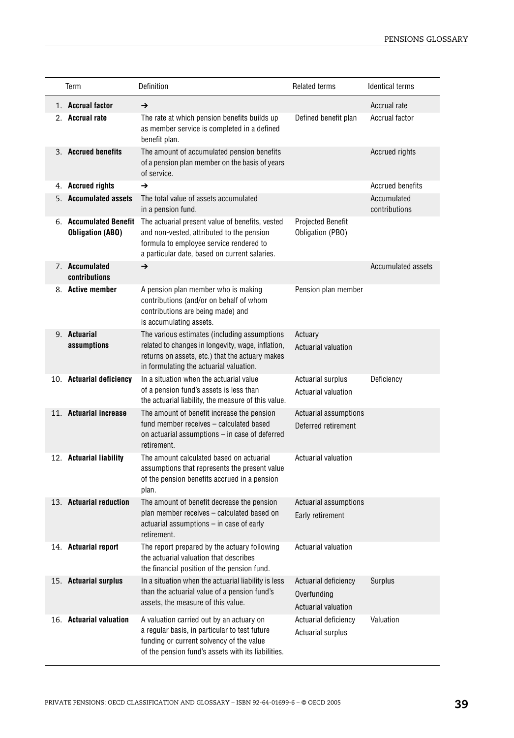| Term                                              | Definition                                                                                                                                                                                      | <b>Related terms</b>                                       | <b>Identical terms</b>         |
|---------------------------------------------------|-------------------------------------------------------------------------------------------------------------------------------------------------------------------------------------------------|------------------------------------------------------------|--------------------------------|
| 1. Accrual factor<br>2. Accrual rate              | →<br>The rate at which pension benefits builds up<br>as member service is completed in a defined<br>benefit plan.                                                                               | Defined benefit plan                                       | Accrual rate<br>Accrual factor |
| 3. Accrued benefits                               | The amount of accumulated pension benefits<br>of a pension plan member on the basis of years<br>of service.                                                                                     |                                                            | Accrued rights                 |
| 4. Accrued rights                                 | →                                                                                                                                                                                               |                                                            | <b>Accrued benefits</b>        |
| 5. Accumulated assets                             | The total value of assets accumulated<br>in a pension fund.                                                                                                                                     |                                                            | Accumulated<br>contributions   |
| 6. Accumulated Benefit<br><b>Obligation (ABO)</b> | The actuarial present value of benefits, vested<br>and non-vested, attributed to the pension<br>formula to employee service rendered to<br>a particular date, based on current salaries.        | <b>Projected Benefit</b><br>Obligation (PBO)               |                                |
| 7. Accumulated<br>contributions                   | →                                                                                                                                                                                               |                                                            | <b>Accumulated assets</b>      |
| 8. Active member                                  | A pension plan member who is making<br>contributions (and/or on behalf of whom<br>contributions are being made) and<br>is accumulating assets.                                                  | Pension plan member                                        |                                |
| 9. Actuarial<br>assumptions                       | The various estimates (including assumptions<br>related to changes in longevity, wage, inflation,<br>returns on assets, etc.) that the actuary makes<br>in formulating the actuarial valuation. | Actuary<br>Actuarial valuation                             |                                |
| 10. Actuarial deficiency                          | In a situation when the actuarial value<br>of a pension fund's assets is less than<br>the actuarial liability, the measure of this value.                                                       | <b>Actuarial surplus</b><br>Actuarial valuation            | Deficiency                     |
| 11. Actuarial increase                            | The amount of benefit increase the pension<br>fund member receives - calculated based<br>on actuarial assumptions - in case of deferred<br>retirement.                                          | Actuarial assumptions<br>Deferred retirement               |                                |
| 12. Actuarial liability                           | The amount calculated based on actuarial<br>assumptions that represents the present value<br>of the pension benefits accrued in a pension<br>plan.                                              | <b>Actuarial valuation</b>                                 |                                |
| 13. Actuarial reduction                           | The amount of benefit decrease the pension<br>plan member receives - calculated based on<br>actuarial assumptions - in case of early<br>retirement.                                             | Actuarial assumptions<br>Early retirement                  |                                |
| 14. Actuarial report                              | The report prepared by the actuary following<br>the actuarial valuation that describes<br>the financial position of the pension fund.                                                           | Actuarial valuation                                        |                                |
| 15. Actuarial surplus                             | In a situation when the actuarial liability is less<br>than the actuarial value of a pension fund's<br>assets, the measure of this value.                                                       | Actuarial deficiency<br>Overfunding<br>Actuarial valuation | Surplus                        |
| 16. Actuarial valuation                           | A valuation carried out by an actuary on<br>a regular basis, in particular to test future<br>funding or current solvency of the value<br>of the pension fund's assets with its liabilities.     | Actuarial deficiency<br><b>Actuarial surplus</b>           | Valuation                      |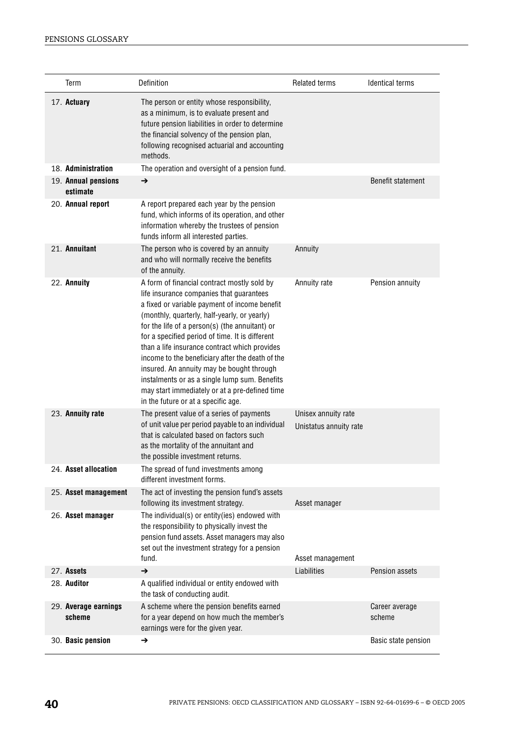| Term                            | Definition                                                                                                                                                                                                                                                                                                                                                                                                                                                                                                                                                                                | <b>Related terms</b>                          | <b>Identical terms</b>   |
|---------------------------------|-------------------------------------------------------------------------------------------------------------------------------------------------------------------------------------------------------------------------------------------------------------------------------------------------------------------------------------------------------------------------------------------------------------------------------------------------------------------------------------------------------------------------------------------------------------------------------------------|-----------------------------------------------|--------------------------|
| 17. Actuary                     | The person or entity whose responsibility,<br>as a minimum, is to evaluate present and<br>future pension liabilities in order to determine<br>the financial solvency of the pension plan,<br>following recognised actuarial and accounting<br>methods.                                                                                                                                                                                                                                                                                                                                    |                                               |                          |
| 18. Administration              | The operation and oversight of a pension fund.                                                                                                                                                                                                                                                                                                                                                                                                                                                                                                                                            |                                               |                          |
| 19. Annual pensions<br>estimate | $\rightarrow$                                                                                                                                                                                                                                                                                                                                                                                                                                                                                                                                                                             |                                               | Benefit statement        |
| 20. Annual report               | A report prepared each year by the pension<br>fund, which informs of its operation, and other<br>information whereby the trustees of pension<br>funds inform all interested parties.                                                                                                                                                                                                                                                                                                                                                                                                      |                                               |                          |
| 21. Annuitant                   | The person who is covered by an annuity<br>and who will normally receive the benefits<br>of the annuity.                                                                                                                                                                                                                                                                                                                                                                                                                                                                                  | Annuity                                       |                          |
| 22. Annuity                     | A form of financial contract mostly sold by<br>life insurance companies that guarantees<br>a fixed or variable payment of income benefit<br>(monthly, quarterly, half-yearly, or yearly)<br>for the life of a person(s) (the annuitant) or<br>for a specified period of time. It is different<br>than a life insurance contract which provides<br>income to the beneficiary after the death of the<br>insured. An annuity may be bought through<br>instalments or as a single lump sum. Benefits<br>may start immediately or at a pre-defined time<br>in the future or at a specific age. | Annuity rate                                  | Pension annuity          |
| 23. Annuity rate                | The present value of a series of payments<br>of unit value per period payable to an individual<br>that is calculated based on factors such<br>as the mortality of the annuitant and<br>the possible investment returns.                                                                                                                                                                                                                                                                                                                                                                   | Unisex annuity rate<br>Unistatus annuity rate |                          |
| 24. Asset allocation            | The spread of fund investments among<br>different investment forms.                                                                                                                                                                                                                                                                                                                                                                                                                                                                                                                       |                                               |                          |
| 25. Asset management            | The act of investing the pension fund's assets<br>following its investment strategy.                                                                                                                                                                                                                                                                                                                                                                                                                                                                                                      | Asset manager                                 |                          |
| 26. Asset manager               | The individual(s) or entity(ies) endowed with<br>the responsibility to physically invest the<br>pension fund assets. Asset managers may also<br>set out the investment strategy for a pension<br>fund.                                                                                                                                                                                                                                                                                                                                                                                    | Asset management                              |                          |
| 27. Assets                      | →                                                                                                                                                                                                                                                                                                                                                                                                                                                                                                                                                                                         | Liabilities                                   | Pension assets           |
| 28. Auditor                     | A qualified individual or entity endowed with<br>the task of conducting audit.                                                                                                                                                                                                                                                                                                                                                                                                                                                                                                            |                                               |                          |
| 29. Average earnings<br>scheme  | A scheme where the pension benefits earned<br>for a year depend on how much the member's<br>earnings were for the given year.                                                                                                                                                                                                                                                                                                                                                                                                                                                             |                                               | Career average<br>scheme |
| 30. Basic pension               | →                                                                                                                                                                                                                                                                                                                                                                                                                                                                                                                                                                                         |                                               | Basic state pension      |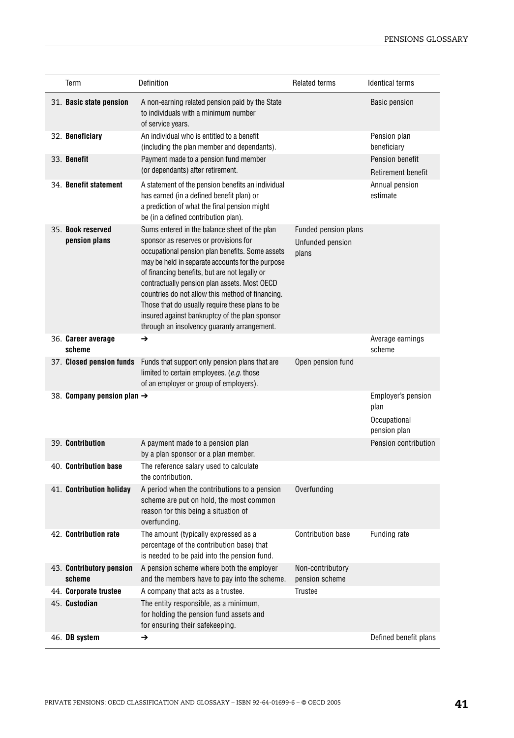| Term                                   | Definition                                                                                                                                                                                                                                                                                                                                                                                                                                                                                             | <b>Related terms</b>                              | <b>Identical terms</b>                                     |
|----------------------------------------|--------------------------------------------------------------------------------------------------------------------------------------------------------------------------------------------------------------------------------------------------------------------------------------------------------------------------------------------------------------------------------------------------------------------------------------------------------------------------------------------------------|---------------------------------------------------|------------------------------------------------------------|
| 31. Basic state pension                | A non-earning related pension paid by the State<br>to individuals with a minimum number<br>of service years.                                                                                                                                                                                                                                                                                                                                                                                           |                                                   | <b>Basic pension</b>                                       |
| 32. Beneficiary                        | An individual who is entitled to a benefit<br>(including the plan member and dependants).                                                                                                                                                                                                                                                                                                                                                                                                              |                                                   | Pension plan<br>beneficiary                                |
| 33. Benefit                            | Payment made to a pension fund member<br>(or dependants) after retirement.                                                                                                                                                                                                                                                                                                                                                                                                                             |                                                   | Pension benefit<br>Retirement benefit                      |
| 34. Benefit statement                  | A statement of the pension benefits an individual<br>has earned (in a defined benefit plan) or<br>a prediction of what the final pension might<br>be (in a defined contribution plan).                                                                                                                                                                                                                                                                                                                 |                                                   | Annual pension<br>estimate                                 |
| 35. Book reserved<br>pension plans     | Sums entered in the balance sheet of the plan<br>sponsor as reserves or provisions for<br>occupational pension plan benefits. Some assets<br>may be held in separate accounts for the purpose<br>of financing benefits, but are not legally or<br>contractually pension plan assets. Most OECD<br>countries do not allow this method of financing.<br>Those that do usually require these plans to be<br>insured against bankruptcy of the plan sponsor<br>through an insolvency guaranty arrangement. | Funded pension plans<br>Unfunded pension<br>plans |                                                            |
| 36. Career average<br>scheme           | →                                                                                                                                                                                                                                                                                                                                                                                                                                                                                                      |                                                   | Average earnings<br>scheme                                 |
| 37. Closed pension funds               | Funds that support only pension plans that are<br>limited to certain employees. (e.g. those<br>of an employer or group of employers).                                                                                                                                                                                                                                                                                                                                                                  | Open pension fund                                 |                                                            |
| 38. Company pension plan $\rightarrow$ |                                                                                                                                                                                                                                                                                                                                                                                                                                                                                                        |                                                   | Employer's pension<br>plan<br>Occupational<br>pension plan |
| 39. Contribution                       | A payment made to a pension plan<br>by a plan sponsor or a plan member.                                                                                                                                                                                                                                                                                                                                                                                                                                |                                                   | Pension contribution                                       |
| 40. Contribution base                  | The reference salary used to calculate<br>the contribution.                                                                                                                                                                                                                                                                                                                                                                                                                                            |                                                   |                                                            |
| 41. Contribution holiday               | A period when the contributions to a pension<br>scheme are put on hold, the most common<br>reason for this being a situation of<br>overfunding.                                                                                                                                                                                                                                                                                                                                                        | Overfunding                                       |                                                            |
| 42. Contribution rate                  | The amount (typically expressed as a<br>percentage of the contribution base) that<br>is needed to be paid into the pension fund.                                                                                                                                                                                                                                                                                                                                                                       | <b>Contribution base</b>                          | Funding rate                                               |
| 43. Contributory pension<br>scheme     | A pension scheme where both the employer<br>and the members have to pay into the scheme.                                                                                                                                                                                                                                                                                                                                                                                                               | Non-contributory<br>pension scheme                |                                                            |
| 44. Corporate trustee                  | A company that acts as a trustee.                                                                                                                                                                                                                                                                                                                                                                                                                                                                      | Trustee                                           |                                                            |
| 45. <b>Custodian</b>                   | The entity responsible, as a minimum,<br>for holding the pension fund assets and<br>for ensuring their safekeeping.                                                                                                                                                                                                                                                                                                                                                                                    |                                                   |                                                            |
| 46. DB system                          | →                                                                                                                                                                                                                                                                                                                                                                                                                                                                                                      |                                                   | Defined benefit plans                                      |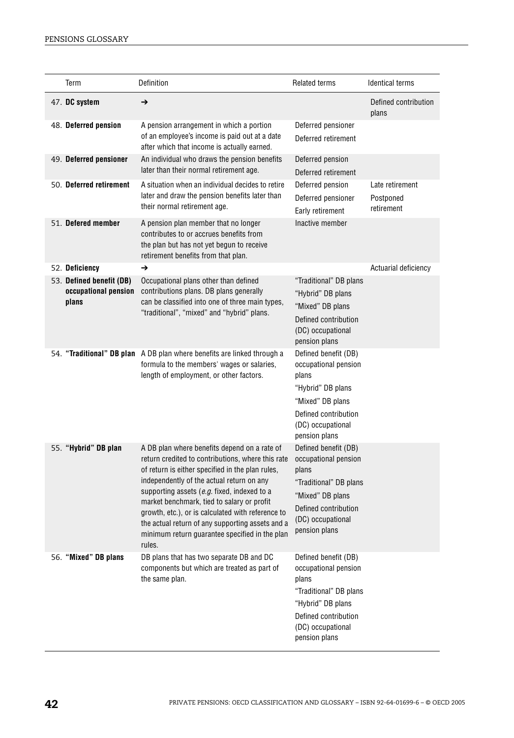| Term                                                      | Definition                                                                                                                                                                                                                                                                                                                                                                                                                                                           | <b>Related terms</b>                                                                                                                                               | <b>Identical terms</b>                     |
|-----------------------------------------------------------|----------------------------------------------------------------------------------------------------------------------------------------------------------------------------------------------------------------------------------------------------------------------------------------------------------------------------------------------------------------------------------------------------------------------------------------------------------------------|--------------------------------------------------------------------------------------------------------------------------------------------------------------------|--------------------------------------------|
| 47. DC system                                             | $\rightarrow$                                                                                                                                                                                                                                                                                                                                                                                                                                                        |                                                                                                                                                                    | Defined contribution<br>plans              |
| 48. Deferred pension                                      | A pension arrangement in which a portion<br>of an employee's income is paid out at a date<br>after which that income is actually earned.                                                                                                                                                                                                                                                                                                                             | Deferred pensioner<br>Deferred retirement                                                                                                                          |                                            |
| 49. Deferred pensioner                                    | An individual who draws the pension benefits<br>later than their normal retirement age.                                                                                                                                                                                                                                                                                                                                                                              | Deferred pension<br>Deferred retirement                                                                                                                            |                                            |
| 50. Deferred retirement                                   | A situation when an individual decides to retire<br>later and draw the pension benefits later than<br>their normal retirement age.                                                                                                                                                                                                                                                                                                                                   | Deferred pension<br>Deferred pensioner<br>Early retirement                                                                                                         | Late retirement<br>Postponed<br>retirement |
| 51. Defered member                                        | A pension plan member that no longer<br>contributes to or accrues benefits from<br>the plan but has not yet begun to receive<br>retirement benefits from that plan.                                                                                                                                                                                                                                                                                                  | Inactive member                                                                                                                                                    |                                            |
| 52. Deficiency                                            | $\rightarrow$                                                                                                                                                                                                                                                                                                                                                                                                                                                        |                                                                                                                                                                    | Actuarial deficiency                       |
| 53. Defined benefit (DB)<br>occupational pension<br>plans | Occupational plans other than defined<br>contributions plans. DB plans generally<br>can be classified into one of three main types,<br>"traditional", "mixed" and "hybrid" plans.                                                                                                                                                                                                                                                                                    | "Traditional" DB plans<br>"Hybrid" DB plans<br>"Mixed" DB plans<br>Defined contribution<br>(DC) occupational<br>pension plans                                      |                                            |
|                                                           | 54. "Traditional" DB plan A DB plan where benefits are linked through a<br>formula to the members' wages or salaries,<br>length of employment, or other factors.                                                                                                                                                                                                                                                                                                     | Defined benefit (DB)<br>occupational pension<br>plans<br>"Hybrid" DB plans<br>"Mixed" DB plans<br>Defined contribution<br>(DC) occupational<br>pension plans       |                                            |
| 55. "Hybrid" DB plan                                      | A DB plan where benefits depend on a rate of<br>return credited to contributions, where this rate<br>of return is either specified in the plan rules,<br>independently of the actual return on any<br>supporting assets (e.g. fixed, indexed to a<br>market benchmark, tied to salary or profit<br>growth, etc.), or is calculated with reference to<br>the actual return of any supporting assets and a<br>minimum return guarantee specified in the plan<br>rules. | Defined benefit (DB)<br>occupational pension<br>plans<br>"Traditional" DB plans<br>"Mixed" DB plans<br>Defined contribution<br>(DC) occupational<br>pension plans  |                                            |
| 56. "Mixed" DB plans                                      | DB plans that has two separate DB and DC<br>components but which are treated as part of<br>the same plan.                                                                                                                                                                                                                                                                                                                                                            | Defined benefit (DB)<br>occupational pension<br>plans<br>"Traditional" DB plans<br>"Hybrid" DB plans<br>Defined contribution<br>(DC) occupational<br>pension plans |                                            |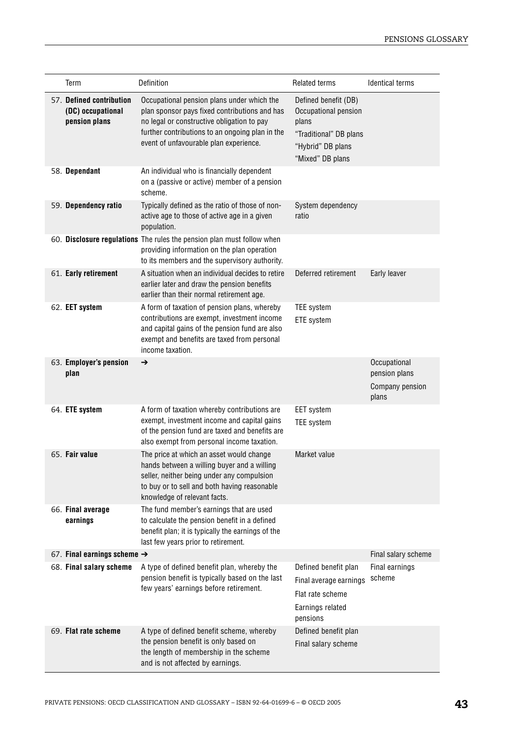| Term                                                           | Definition                                                                                                                                                                                                                             | <b>Related terms</b>                                                                                                     | <b>Identical terms</b>                                    |
|----------------------------------------------------------------|----------------------------------------------------------------------------------------------------------------------------------------------------------------------------------------------------------------------------------------|--------------------------------------------------------------------------------------------------------------------------|-----------------------------------------------------------|
| 57. Defined contribution<br>(DC) occupational<br>pension plans | Occupational pension plans under which the<br>plan sponsor pays fixed contributions and has<br>no legal or constructive obligation to pay<br>further contributions to an ongoing plan in the<br>event of unfavourable plan experience. | Defined benefit (DB)<br>Occupational pension<br>plans<br>"Traditional" DB plans<br>"Hybrid" DB plans<br>"Mixed" DB plans |                                                           |
| 58. Dependant                                                  | An individual who is financially dependent<br>on a (passive or active) member of a pension<br>scheme.                                                                                                                                  |                                                                                                                          |                                                           |
| 59. Dependency ratio                                           | Typically defined as the ratio of those of non-<br>active age to those of active age in a given<br>population.                                                                                                                         | System dependency<br>ratio                                                                                               |                                                           |
|                                                                | 60. Disclosure regulations The rules the pension plan must follow when<br>providing information on the plan operation<br>to its members and the supervisory authority.                                                                 |                                                                                                                          |                                                           |
| 61. Early retirement                                           | A situation when an individual decides to retire<br>earlier later and draw the pension benefits<br>earlier than their normal retirement age.                                                                                           | Deferred retirement                                                                                                      | Early leaver                                              |
| 62. EET system                                                 | A form of taxation of pension plans, whereby<br>contributions are exempt, investment income<br>and capital gains of the pension fund are also<br>exempt and benefits are taxed from personal<br>income taxation.                       | <b>TEE</b> system<br>ETE system                                                                                          |                                                           |
| 63. Employer's pension<br>plan                                 | $\rightarrow$                                                                                                                                                                                                                          |                                                                                                                          | Occupational<br>pension plans<br>Company pension<br>plans |
| 64. ETE system                                                 | A form of taxation whereby contributions are<br>exempt, investment income and capital gains<br>of the pension fund are taxed and benefits are<br>also exempt from personal income taxation.                                            | <b>EET</b> system<br><b>TEE</b> system                                                                                   |                                                           |
| 65. Fair value                                                 | The price at which an asset would change<br>hands between a willing buyer and a willing<br>seller, neither being under any compulsion<br>to buy or to sell and both having reasonable<br>knowledge of relevant facts.                  | Market value                                                                                                             |                                                           |
| 66. Final average<br>earnings                                  | The fund member's earnings that are used<br>to calculate the pension benefit in a defined<br>benefit plan; it is typically the earnings of the<br>last few years prior to retirement.                                                  |                                                                                                                          |                                                           |
| 67. Final earnings scheme $\rightarrow$                        |                                                                                                                                                                                                                                        |                                                                                                                          | Final salary scheme                                       |
| 68. Final salary scheme                                        | A type of defined benefit plan, whereby the<br>pension benefit is typically based on the last<br>few years' earnings before retirement.                                                                                                | Defined benefit plan<br>Final average earnings<br>Flat rate scheme<br>Earnings related<br>pensions                       | Final earnings<br>scheme                                  |
| 69. Flat rate scheme                                           | A type of defined benefit scheme, whereby<br>the pension benefit is only based on<br>the length of membership in the scheme<br>and is not affected by earnings.                                                                        | Defined benefit plan<br>Final salary scheme                                                                              |                                                           |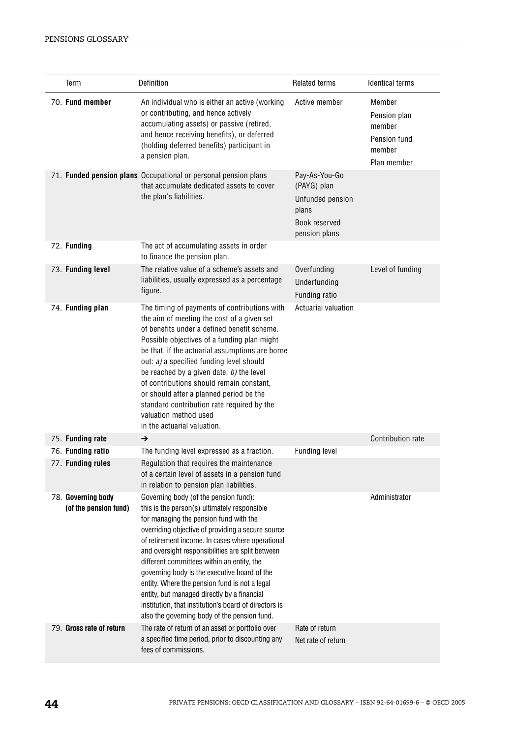| Term                                        | Definition                                                                                                                                                                                                                                                                                                                                                                                                                                                                                                                                                                                          | <b>Related terms</b>                                                                        | <b>Identical terms</b>                                                    |
|---------------------------------------------|-----------------------------------------------------------------------------------------------------------------------------------------------------------------------------------------------------------------------------------------------------------------------------------------------------------------------------------------------------------------------------------------------------------------------------------------------------------------------------------------------------------------------------------------------------------------------------------------------------|---------------------------------------------------------------------------------------------|---------------------------------------------------------------------------|
| 70. Fund member                             | An individual who is either an active (working<br>or contributing, and hence actively<br>accumulating assets) or passive (retired,<br>and hence receiving benefits), or deferred<br>(holding deferred benefits) participant in<br>a pension plan.                                                                                                                                                                                                                                                                                                                                                   | Active member                                                                               | Member<br>Pension plan<br>member<br>Pension fund<br>member<br>Plan member |
|                                             | 71. Funded pension plans Occupational or personal pension plans<br>that accumulate dedicated assets to cover<br>the plan's liabilities.                                                                                                                                                                                                                                                                                                                                                                                                                                                             | Pay-As-You-Go<br>(PAYG) plan<br>Unfunded pension<br>plans<br>Book reserved<br>pension plans |                                                                           |
| 72. Funding                                 | The act of accumulating assets in order<br>to finance the pension plan.                                                                                                                                                                                                                                                                                                                                                                                                                                                                                                                             |                                                                                             |                                                                           |
| 73. Funding level                           | The relative value of a scheme's assets and<br>liabilities, usually expressed as a percentage<br>figure.                                                                                                                                                                                                                                                                                                                                                                                                                                                                                            | Overfunding<br>Underfunding<br>Funding ratio                                                | Level of funding                                                          |
| 74. Funding plan                            | The timing of payments of contributions with<br>the aim of meeting the cost of a given set<br>of benefits under a defined benefit scheme.<br>Possible objectives of a funding plan might<br>be that, if the actuarial assumptions are borne<br>out: a) a specified funding level should<br>be reached by a given date; b) the level<br>of contributions should remain constant,<br>or should after a planned period be the<br>standard contribution rate required by the<br>valuation method used<br>in the actuarial valuation.                                                                    | Actuarial valuation                                                                         |                                                                           |
| 75. Funding rate                            | →                                                                                                                                                                                                                                                                                                                                                                                                                                                                                                                                                                                                   |                                                                                             | Contribution rate                                                         |
| 76. Funding ratio                           | The funding level expressed as a fraction.                                                                                                                                                                                                                                                                                                                                                                                                                                                                                                                                                          | <b>Funding level</b>                                                                        |                                                                           |
| 77. Funding rules                           | Regulation that reguires the maintenance<br>of a certain level of assets in a pension fund<br>in relation to pension plan liabilities.                                                                                                                                                                                                                                                                                                                                                                                                                                                              |                                                                                             |                                                                           |
| 78. Governing body<br>(of the pension fund) | Governing body (of the pension fund):<br>this is the person(s) ultimately responsible<br>for managing the pension fund with the<br>overriding objective of providing a secure source<br>of retirement income. In cases where operational<br>and oversight responsibilities are split between<br>different committees within an entity, the<br>governing body is the executive board of the<br>entity. Where the pension fund is not a legal<br>entity, but managed directly by a financial<br>institution, that institution's board of directors is<br>also the governing body of the pension fund. |                                                                                             | Administrator                                                             |
| 79. Gross rate of return                    | The rate of return of an asset or portfolio over<br>a specified time period, prior to discounting any<br>fees of commissions.                                                                                                                                                                                                                                                                                                                                                                                                                                                                       | Rate of return<br>Net rate of return                                                        |                                                                           |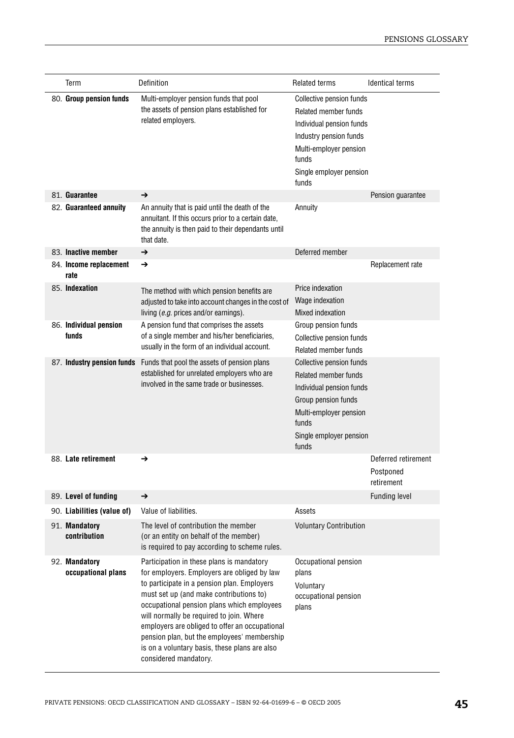| Term                                | Definition                                                                                                                                                                                                                                                                                                                                                                                                                                              | <b>Related terms</b>                                                                                                                                                                     | <b>Identical terms</b>                         |
|-------------------------------------|---------------------------------------------------------------------------------------------------------------------------------------------------------------------------------------------------------------------------------------------------------------------------------------------------------------------------------------------------------------------------------------------------------------------------------------------------------|------------------------------------------------------------------------------------------------------------------------------------------------------------------------------------------|------------------------------------------------|
| 80. Group pension funds             | Multi-employer pension funds that pool<br>the assets of pension plans established for<br>related employers.                                                                                                                                                                                                                                                                                                                                             | Collective pension funds<br>Related member funds<br>Individual pension funds<br>Industry pension funds<br>Multi-employer pension<br>funds<br>Single employer pension<br>funds            |                                                |
| 81. Guarantee                       | →                                                                                                                                                                                                                                                                                                                                                                                                                                                       |                                                                                                                                                                                          | Pension guarantee                              |
| 82. Guaranteed annuity              | An annuity that is paid until the death of the<br>annuitant. If this occurs prior to a certain date,<br>the annuity is then paid to their dependants until<br>that date.                                                                                                                                                                                                                                                                                | Annuity                                                                                                                                                                                  |                                                |
| 83. Inactive member                 | →                                                                                                                                                                                                                                                                                                                                                                                                                                                       | Deferred member                                                                                                                                                                          |                                                |
| 84. Income replacement<br>rate      | →                                                                                                                                                                                                                                                                                                                                                                                                                                                       |                                                                                                                                                                                          | Replacement rate                               |
| 85. Indexation                      | The method with which pension benefits are<br>adjusted to take into account changes in the cost of<br>living (e.g. prices and/or earnings).                                                                                                                                                                                                                                                                                                             | Price indexation<br>Wage indexation<br>Mixed indexation                                                                                                                                  |                                                |
| 86. Individual pension<br>funds     | A pension fund that comprises the assets<br>of a single member and his/her beneficiaries,<br>usually in the form of an individual account.                                                                                                                                                                                                                                                                                                              | Group pension funds<br>Collective pension funds<br>Related member funds                                                                                                                  |                                                |
| 87. Industry pension funds          | Funds that pool the assets of pension plans<br>established for unrelated employers who are<br>involved in the same trade or businesses.                                                                                                                                                                                                                                                                                                                 | <b>Collective pension funds</b><br><b>Related member funds</b><br>Individual pension funds<br>Group pension funds<br>Multi-employer pension<br>funds<br>Single employer pension<br>funds |                                                |
| 88. Late retirement                 | →                                                                                                                                                                                                                                                                                                                                                                                                                                                       |                                                                                                                                                                                          | Deferred retirement<br>Postponed<br>retirement |
| 89. Level of funding                | →                                                                                                                                                                                                                                                                                                                                                                                                                                                       |                                                                                                                                                                                          | <b>Funding level</b>                           |
| 90. Liabilities (value of)          | Value of liabilities.                                                                                                                                                                                                                                                                                                                                                                                                                                   | Assets                                                                                                                                                                                   |                                                |
| 91. Mandatory<br>contribution       | The level of contribution the member<br>(or an entity on behalf of the member)<br>is required to pay according to scheme rules.                                                                                                                                                                                                                                                                                                                         | <b>Voluntary Contribution</b>                                                                                                                                                            |                                                |
| 92. Mandatory<br>occupational plans | Participation in these plans is mandatory<br>for employers. Employers are obliged by law<br>to participate in a pension plan. Employers<br>must set up (and make contributions to)<br>occupational pension plans which employees<br>will normally be required to join. Where<br>employers are obliged to offer an occupational<br>pension plan, but the employees' membership<br>is on a voluntary basis, these plans are also<br>considered mandatory. | Occupational pension<br>plans<br>Voluntary<br>occupational pension<br>plans                                                                                                              |                                                |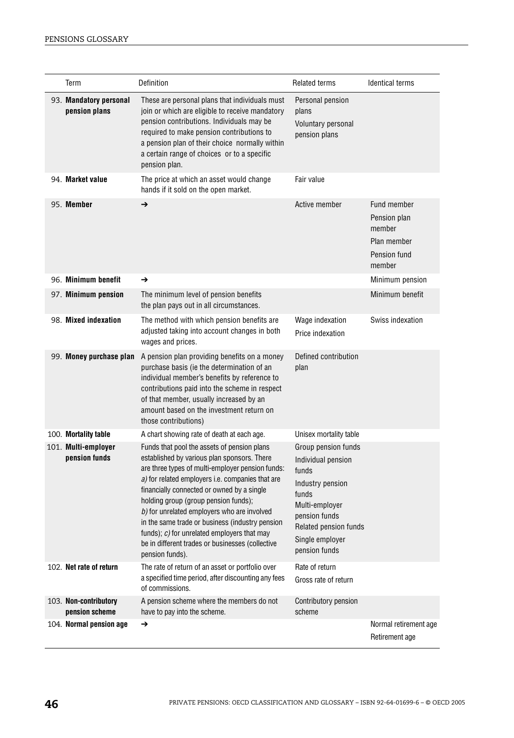| Term                                                         | Definition                                                                                                                                                                                                                                                                                                                                                                                                                                                                                                                                                        | <b>Related terms</b>                                                                                                                                                                                      | <b>Identical terms</b>                                                         |
|--------------------------------------------------------------|-------------------------------------------------------------------------------------------------------------------------------------------------------------------------------------------------------------------------------------------------------------------------------------------------------------------------------------------------------------------------------------------------------------------------------------------------------------------------------------------------------------------------------------------------------------------|-----------------------------------------------------------------------------------------------------------------------------------------------------------------------------------------------------------|--------------------------------------------------------------------------------|
| 93. Mandatory personal<br>pension plans                      | These are personal plans that individuals must<br>join or which are eligible to receive mandatory<br>pension contributions. Individuals may be<br>required to make pension contributions to<br>a pension plan of their choice normally within<br>a certain range of choices or to a specific<br>pension plan.                                                                                                                                                                                                                                                     | Personal pension<br>plans<br>Voluntary personal<br>pension plans                                                                                                                                          |                                                                                |
| 94. Market value                                             | The price at which an asset would change<br>hands if it sold on the open market.                                                                                                                                                                                                                                                                                                                                                                                                                                                                                  | Fair value                                                                                                                                                                                                |                                                                                |
| 95. Member                                                   | $\rightarrow$                                                                                                                                                                                                                                                                                                                                                                                                                                                                                                                                                     | Active member                                                                                                                                                                                             | Fund member<br>Pension plan<br>member<br>Plan member<br>Pension fund<br>member |
| 96. Minimum benefit                                          | →                                                                                                                                                                                                                                                                                                                                                                                                                                                                                                                                                                 |                                                                                                                                                                                                           | Minimum pension                                                                |
| 97. Minimum pension                                          | The minimum level of pension benefits<br>the plan pays out in all circumstances.                                                                                                                                                                                                                                                                                                                                                                                                                                                                                  |                                                                                                                                                                                                           | Minimum benefit                                                                |
| 98. Mixed indexation                                         | The method with which pension benefits are<br>adjusted taking into account changes in both<br>wages and prices.                                                                                                                                                                                                                                                                                                                                                                                                                                                   | Wage indexation<br>Price indexation                                                                                                                                                                       | Swiss indexation                                                               |
| 99. Money purchase plan                                      | A pension plan providing benefits on a money<br>purchase basis (ie the determination of an<br>individual member's benefits by reference to<br>contributions paid into the scheme in respect<br>of that member, usually increased by an<br>amount based on the investment return on<br>those contributions)                                                                                                                                                                                                                                                        | Defined contribution<br>plan                                                                                                                                                                              |                                                                                |
| 100. Mortality table<br>101. Multi-employer<br>pension funds | A chart showing rate of death at each age.<br>Funds that pool the assets of pension plans<br>established by various plan sponsors. There<br>are three types of multi-employer pension funds:<br>a) for related employers i.e. companies that are<br>financially connected or owned by a single<br>holding group (group pension funds);<br>b) for unrelated employers who are involved<br>in the same trade or business (industry pension<br>funds); $c$ ) for unrelated employers that may<br>be in different trades or businesses (collective<br>pension funds). | Unisex mortality table<br>Group pension funds<br>Individual pension<br>funds<br>Industry pension<br>funds<br>Multi-employer<br>pension funds<br>Related pension funds<br>Single employer<br>pension funds |                                                                                |
| 102. Net rate of return                                      | The rate of return of an asset or portfolio over<br>a specified time period, after discounting any fees<br>of commissions.                                                                                                                                                                                                                                                                                                                                                                                                                                        | Rate of return<br>Gross rate of return                                                                                                                                                                    |                                                                                |
| 103. Non-contributory<br>pension scheme                      | A pension scheme where the members do not<br>have to pay into the scheme.                                                                                                                                                                                                                                                                                                                                                                                                                                                                                         | Contributory pension<br>scheme                                                                                                                                                                            |                                                                                |
| 104. Normal pension age                                      | →                                                                                                                                                                                                                                                                                                                                                                                                                                                                                                                                                                 |                                                                                                                                                                                                           | Normal retirement age<br>Retirement age                                        |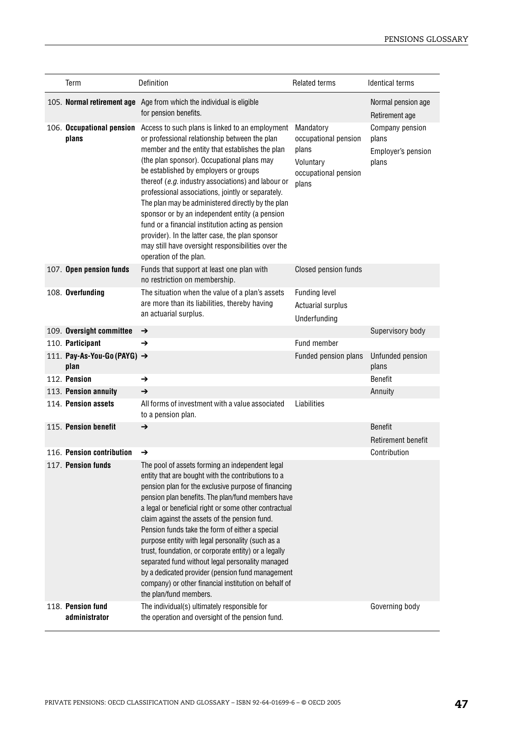| Term                                | Definition                                                                                                                                                                                                                                                                                                                                                                                                                                                                                                                                                                                                                                                                            | <b>Related terms</b>                                                                     | <b>Identical terms</b>                                  |
|-------------------------------------|---------------------------------------------------------------------------------------------------------------------------------------------------------------------------------------------------------------------------------------------------------------------------------------------------------------------------------------------------------------------------------------------------------------------------------------------------------------------------------------------------------------------------------------------------------------------------------------------------------------------------------------------------------------------------------------|------------------------------------------------------------------------------------------|---------------------------------------------------------|
|                                     | 105. Normal retirement age Age from which the individual is eligible<br>for pension benefits.                                                                                                                                                                                                                                                                                                                                                                                                                                                                                                                                                                                         |                                                                                          | Normal pension age<br>Retirement age                    |
| plans                               | 106. <b>Occupational pension</b> Access to such plans is linked to an employment<br>or professional relationship between the plan<br>member and the entity that establishes the plan<br>(the plan sponsor). Occupational plans may<br>be established by employers or groups<br>thereof (e.g. industry associations) and labour or<br>professional associations, jointly or separately.<br>The plan may be administered directly by the plan<br>sponsor or by an independent entity (a pension<br>fund or a financial institution acting as pension<br>provider). In the latter case, the plan sponsor<br>may still have oversight responsibilities over the<br>operation of the plan. | Mandatory<br>occupational pension<br>plans<br>Voluntary<br>occupational pension<br>plans | Company pension<br>plans<br>Employer's pension<br>plans |
| 107. Open pension funds             | Funds that support at least one plan with<br>no restriction on membership.                                                                                                                                                                                                                                                                                                                                                                                                                                                                                                                                                                                                            | Closed pension funds                                                                     |                                                         |
| 108. Overfunding                    | The situation when the value of a plan's assets<br>are more than its liabilities, thereby having<br>an actuarial surplus.                                                                                                                                                                                                                                                                                                                                                                                                                                                                                                                                                             | <b>Funding level</b><br><b>Actuarial surplus</b><br>Underfunding                         |                                                         |
| 109. Oversight committee            | →                                                                                                                                                                                                                                                                                                                                                                                                                                                                                                                                                                                                                                                                                     |                                                                                          | Supervisory body                                        |
| 110. Participant                    | →                                                                                                                                                                                                                                                                                                                                                                                                                                                                                                                                                                                                                                                                                     | Fund member                                                                              |                                                         |
| 111. Pay-As-You-Go (PAYG) →<br>plan |                                                                                                                                                                                                                                                                                                                                                                                                                                                                                                                                                                                                                                                                                       | Funded pension plans                                                                     | Unfunded pension<br>plans                               |
| 112. Pension                        | →                                                                                                                                                                                                                                                                                                                                                                                                                                                                                                                                                                                                                                                                                     |                                                                                          | Benefit                                                 |
| 113. Pension annuity                | →                                                                                                                                                                                                                                                                                                                                                                                                                                                                                                                                                                                                                                                                                     |                                                                                          | Annuity                                                 |
| 114. Pension assets                 | All forms of investment with a value associated<br>to a pension plan.                                                                                                                                                                                                                                                                                                                                                                                                                                                                                                                                                                                                                 | <b>Liabilities</b>                                                                       |                                                         |
| 115. Pension benefit                | $\rightarrow$                                                                                                                                                                                                                                                                                                                                                                                                                                                                                                                                                                                                                                                                         |                                                                                          | <b>Benefit</b><br>Retirement benefit                    |
| 116. Pension contribution           | →                                                                                                                                                                                                                                                                                                                                                                                                                                                                                                                                                                                                                                                                                     |                                                                                          | Contribution                                            |
| 117. Pension funds                  | The pool of assets forming an independent legal<br>entity that are bought with the contributions to a<br>pension plan for the exclusive purpose of financing<br>pension plan benefits. The plan/fund members have<br>a legal or beneficial right or some other contractual<br>claim against the assets of the pension fund.<br>Pension funds take the form of either a special<br>purpose entity with legal personality (such as a<br>trust, foundation, or corporate entity) or a legally<br>separated fund without legal personality managed<br>by a dedicated provider (pension fund management<br>company) or other financial institution on behalf of<br>the plan/fund members.  |                                                                                          |                                                         |
| 118. Pension fund<br>administrator  | The individual(s) ultimately responsible for<br>the operation and oversight of the pension fund.                                                                                                                                                                                                                                                                                                                                                                                                                                                                                                                                                                                      |                                                                                          | Governing body                                          |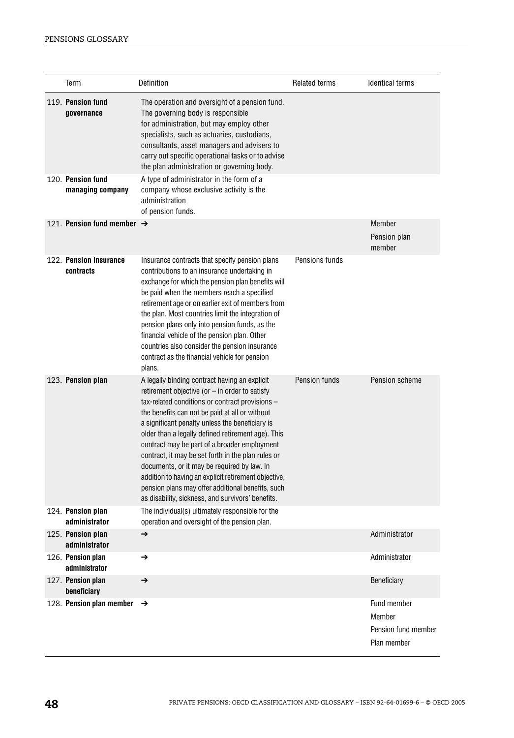| Term                                   | Definition                                                                                                                                                                                                                                                                                                                                                                                                                                                                                                                                                                                                                             | <b>Related terms</b> | <b>Identical terms</b>                                      |
|----------------------------------------|----------------------------------------------------------------------------------------------------------------------------------------------------------------------------------------------------------------------------------------------------------------------------------------------------------------------------------------------------------------------------------------------------------------------------------------------------------------------------------------------------------------------------------------------------------------------------------------------------------------------------------------|----------------------|-------------------------------------------------------------|
| 119. Pension fund<br>qovernance        | The operation and oversight of a pension fund.<br>The governing body is responsible<br>for administration, but may employ other<br>specialists, such as actuaries, custodians,<br>consultants, asset managers and advisers to<br>carry out specific operational tasks or to advise<br>the plan administration or governing body.                                                                                                                                                                                                                                                                                                       |                      |                                                             |
| 120. Pension fund<br>managing company  | A type of administrator in the form of a<br>company whose exclusive activity is the<br>administration<br>of pension funds.                                                                                                                                                                                                                                                                                                                                                                                                                                                                                                             |                      |                                                             |
| 121. Pension fund member $\rightarrow$ |                                                                                                                                                                                                                                                                                                                                                                                                                                                                                                                                                                                                                                        |                      | Member<br>Pension plan<br>member                            |
| 122. Pension insurance<br>contracts    | Insurance contracts that specify pension plans<br>contributions to an insurance undertaking in<br>exchange for which the pension plan benefits will<br>be paid when the members reach a specified<br>retirement age or on earlier exit of members from<br>the plan. Most countries limit the integration of<br>pension plans only into pension funds, as the<br>financial vehicle of the pension plan. Other<br>countries also consider the pension insurance<br>contract as the financial vehicle for pension<br>plans.                                                                                                               | Pensions funds       |                                                             |
| 123. Pension plan                      | A legally binding contract having an explicit<br>retirement objective (or $-$ in order to satisfy<br>tax-related conditions or contract provisions -<br>the benefits can not be paid at all or without<br>a significant penalty unless the beneficiary is<br>older than a legally defined retirement age). This<br>contract may be part of a broader employment<br>contract, it may be set forth in the plan rules or<br>documents, or it may be required by law. In<br>addition to having an explicit retirement objective,<br>pension plans may offer additional benefits, such<br>as disability, sickness, and survivors' benefits. | Pension funds        | Pension scheme                                              |
| 124. Pension plan<br>administrator     | The individual(s) ultimately responsible for the<br>operation and oversight of the pension plan.                                                                                                                                                                                                                                                                                                                                                                                                                                                                                                                                       |                      |                                                             |
| 125. Pension plan<br>administrator     | →                                                                                                                                                                                                                                                                                                                                                                                                                                                                                                                                                                                                                                      |                      | Administrator                                               |
| 126. Pension plan<br>administrator     | →                                                                                                                                                                                                                                                                                                                                                                                                                                                                                                                                                                                                                                      |                      | Administrator                                               |
| 127. Pension plan<br>beneficiary       | →                                                                                                                                                                                                                                                                                                                                                                                                                                                                                                                                                                                                                                      |                      | Beneficiary                                                 |
| 128. Pension plan member               | →                                                                                                                                                                                                                                                                                                                                                                                                                                                                                                                                                                                                                                      |                      | Fund member<br>Member<br>Pension fund member<br>Plan member |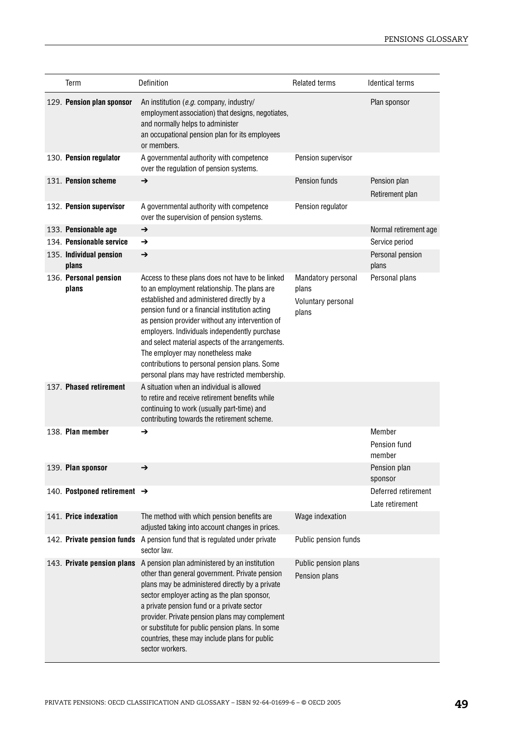| Term                                    | Definition                                                                                                                                                                                                                                                                                                                                                                                                                                                                                       | <b>Related terms</b>                                       | <b>Identical terms</b>                 |
|-----------------------------------------|--------------------------------------------------------------------------------------------------------------------------------------------------------------------------------------------------------------------------------------------------------------------------------------------------------------------------------------------------------------------------------------------------------------------------------------------------------------------------------------------------|------------------------------------------------------------|----------------------------------------|
| 129. Pension plan sponsor               | An institution (e.g. company, industry/<br>employment association) that designs, negotiates,<br>and normally helps to administer<br>an occupational pension plan for its employees<br>or members.                                                                                                                                                                                                                                                                                                |                                                            | Plan sponsor                           |
| 130. Pension regulator                  | A governmental authority with competence<br>over the regulation of pension systems.                                                                                                                                                                                                                                                                                                                                                                                                              | Pension supervisor                                         |                                        |
| 131. Pension scheme                     | →                                                                                                                                                                                                                                                                                                                                                                                                                                                                                                | Pension funds                                              | Pension plan<br>Retirement plan        |
| 132. Pension supervisor                 | A governmental authority with competence<br>over the supervision of pension systems.                                                                                                                                                                                                                                                                                                                                                                                                             | Pension regulator                                          |                                        |
| 133. Pensionable age                    | →                                                                                                                                                                                                                                                                                                                                                                                                                                                                                                |                                                            | Normal retirement age                  |
| 134. Pensionable service                | →                                                                                                                                                                                                                                                                                                                                                                                                                                                                                                |                                                            | Service period                         |
| 135. Individual pension<br>plans        | →                                                                                                                                                                                                                                                                                                                                                                                                                                                                                                |                                                            | Personal pension<br>plans              |
| 136. Personal pension<br>plans          | Access to these plans does not have to be linked<br>to an employment relationship. The plans are<br>established and administered directly by a<br>pension fund or a financial institution acting<br>as pension provider without any intervention of<br>employers. Individuals independently purchase<br>and select material aspects of the arrangements.<br>The employer may nonetheless make<br>contributions to personal pension plans. Some<br>personal plans may have restricted membership. | Mandatory personal<br>plans<br>Voluntary personal<br>plans | Personal plans                         |
| 137. Phased retirement                  | A situation when an individual is allowed<br>to retire and receive retirement benefits while<br>continuing to work (usually part-time) and<br>contributing towards the retirement scheme.                                                                                                                                                                                                                                                                                                        |                                                            |                                        |
| 138. Plan member                        | →                                                                                                                                                                                                                                                                                                                                                                                                                                                                                                |                                                            | Member<br>Pension fund<br>member       |
| 139. Plan sponsor                       | →                                                                                                                                                                                                                                                                                                                                                                                                                                                                                                |                                                            | Pension plan<br>sponsor                |
| 140. Postponed retirement $\rightarrow$ |                                                                                                                                                                                                                                                                                                                                                                                                                                                                                                  |                                                            | Deferred retirement<br>Late retirement |
| 141. Price indexation                   | The method with which pension benefits are<br>adjusted taking into account changes in prices.                                                                                                                                                                                                                                                                                                                                                                                                    | Wage indexation                                            |                                        |
|                                         | 142. Private pension funds A pension fund that is regulated under private<br>sector law.                                                                                                                                                                                                                                                                                                                                                                                                         | Public pension funds                                       |                                        |
| 143. Private pension plans              | A pension plan administered by an institution<br>other than general government. Private pension<br>plans may be administered directly by a private<br>sector employer acting as the plan sponsor,<br>a private pension fund or a private sector<br>provider. Private pension plans may complement<br>or substitute for public pension plans. In some<br>countries, these may include plans for public<br>sector workers.                                                                         | Public pension plans<br>Pension plans                      |                                        |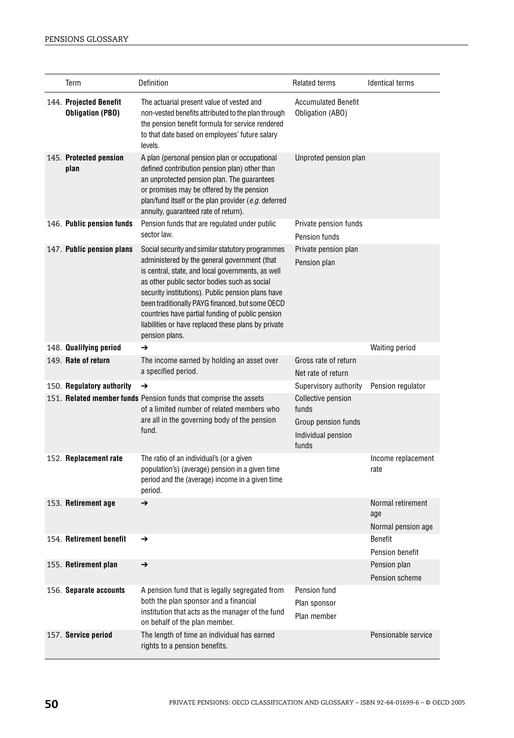| Term                                              | Definition                                                                                                                                                                                                                                                                                                                                                                                                                                 | <b>Related terms</b>                                                                     | <b>Identical terms</b>                         |
|---------------------------------------------------|--------------------------------------------------------------------------------------------------------------------------------------------------------------------------------------------------------------------------------------------------------------------------------------------------------------------------------------------------------------------------------------------------------------------------------------------|------------------------------------------------------------------------------------------|------------------------------------------------|
| 144. Projected Benefit<br><b>Obligation (PBO)</b> | The actuarial present value of vested and<br>non-vested benefits attributed to the plan through<br>the pension benefit formula for service rendered<br>to that date based on employees' future salary<br>levels.                                                                                                                                                                                                                           | <b>Accumulated Benefit</b><br>Obligation (ABO)                                           |                                                |
| 145. Protected pension<br>plan                    | A plan (personal pension plan or occupational<br>defined contribution pension plan) other than<br>an unprotected pension plan. The guarantees<br>or promises may be offered by the pension<br>plan/fund itself or the plan provider (e.g. deferred<br>annuity, guaranteed rate of return).                                                                                                                                                 | Unproted pension plan                                                                    |                                                |
| 146. Public pension funds                         | Pension funds that are regulated under public<br>sector law.                                                                                                                                                                                                                                                                                                                                                                               | Private pension funds<br>Pension funds                                                   |                                                |
| 147. Public pension plans                         | Social security and similar statutory programmes<br>administered by the general government (that<br>is central, state, and local governments, as well<br>as other public sector bodies such as social<br>security institutions). Public pension plans have<br>been traditionally PAYG financed, but some OECD<br>countries have partial funding of public pension<br>liabilities or have replaced these plans by private<br>pension plans. | Private pension plan<br>Pension plan                                                     |                                                |
| 148. Qualifying period                            | →                                                                                                                                                                                                                                                                                                                                                                                                                                          |                                                                                          | <b>Waiting period</b>                          |
| 149. Rate of return                               | The income earned by holding an asset over<br>a specified period.                                                                                                                                                                                                                                                                                                                                                                          | Gross rate of return<br>Net rate of return                                               |                                                |
| 150. Regulatory authority                         | →                                                                                                                                                                                                                                                                                                                                                                                                                                          | Supervisory authority                                                                    | Pension regulator                              |
|                                                   | 151. Related member funds Pension funds that comprise the assets<br>of a limited number of related members who<br>are all in the governing body of the pension<br>fund.                                                                                                                                                                                                                                                                    | <b>Collective pension</b><br>funds<br>Group pension funds<br>Individual pension<br>funds |                                                |
| 152. Replacement rate                             | The ratio of an individual's (or a given<br>population's) (average) pension in a given time<br>period and the (average) income in a given time<br>period.                                                                                                                                                                                                                                                                                  |                                                                                          | Income replacement<br>rate                     |
| 153. Retirement age                               | →                                                                                                                                                                                                                                                                                                                                                                                                                                          |                                                                                          | Normal retirement<br>age<br>Normal pension age |
| 154. Retirement benefit                           | →                                                                                                                                                                                                                                                                                                                                                                                                                                          |                                                                                          | <b>Benefit</b><br>Pension benefit              |
| 155. Retirement plan                              | →                                                                                                                                                                                                                                                                                                                                                                                                                                          |                                                                                          | Pension plan<br>Pension scheme                 |
| 156. Separate accounts                            | A pension fund that is legally segregated from<br>both the plan sponsor and a financial<br>institution that acts as the manager of the fund<br>on behalf of the plan member.                                                                                                                                                                                                                                                               | Pension fund<br>Plan sponsor<br>Plan member                                              |                                                |
| 157. Service period                               | The length of time an individual has earned<br>rights to a pension benefits.                                                                                                                                                                                                                                                                                                                                                               |                                                                                          | Pensionable service                            |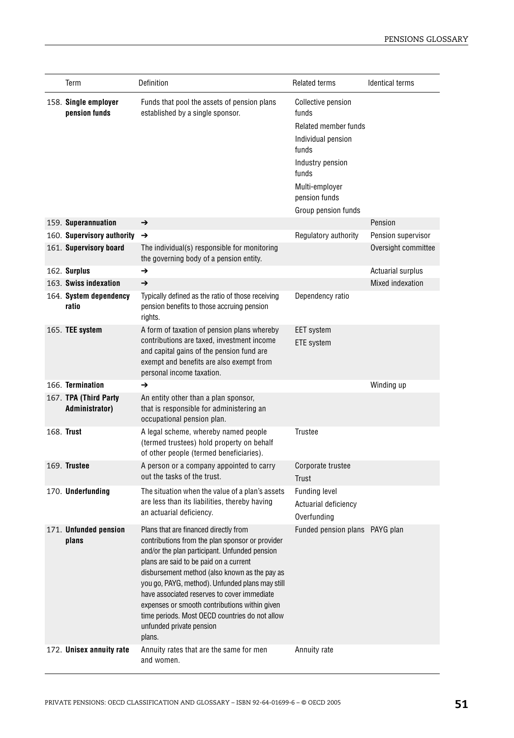| Term                                    | Definition                                                                                                                                                                                                                                                                                                                                                                                                                                                                      | <b>Related terms</b>                                                                                                                                                             | <b>Identical terms</b>   |
|-----------------------------------------|---------------------------------------------------------------------------------------------------------------------------------------------------------------------------------------------------------------------------------------------------------------------------------------------------------------------------------------------------------------------------------------------------------------------------------------------------------------------------------|----------------------------------------------------------------------------------------------------------------------------------------------------------------------------------|--------------------------|
| 158. Single employer<br>pension funds   | Funds that pool the assets of pension plans<br>established by a single sponsor.                                                                                                                                                                                                                                                                                                                                                                                                 | <b>Collective pension</b><br>funds<br>Related member funds<br>Individual pension<br>funds<br>Industry pension<br>funds<br>Multi-employer<br>pension funds<br>Group pension funds |                          |
| 159. Superannuation                     | →                                                                                                                                                                                                                                                                                                                                                                                                                                                                               |                                                                                                                                                                                  | Pension                  |
| 160. Supervisory authority              | →                                                                                                                                                                                                                                                                                                                                                                                                                                                                               | Regulatory authority                                                                                                                                                             | Pension supervisor       |
| 161. Supervisory board                  | The individual(s) responsible for monitoring<br>the governing body of a pension entity.                                                                                                                                                                                                                                                                                                                                                                                         |                                                                                                                                                                                  | Oversight committee      |
| 162. Surplus                            | $\rightarrow$                                                                                                                                                                                                                                                                                                                                                                                                                                                                   |                                                                                                                                                                                  | <b>Actuarial surplus</b> |
| 163. Swiss indexation                   | →                                                                                                                                                                                                                                                                                                                                                                                                                                                                               |                                                                                                                                                                                  | Mixed indexation         |
| 164. System dependency<br>ratio         | Typically defined as the ratio of those receiving<br>pension benefits to those accruing pension<br>rights.                                                                                                                                                                                                                                                                                                                                                                      | Dependency ratio                                                                                                                                                                 |                          |
| 165. TEE system                         | A form of taxation of pension plans whereby<br>contributions are taxed, investment income<br>and capital gains of the pension fund are<br>exempt and benefits are also exempt from<br>personal income taxation.                                                                                                                                                                                                                                                                 | <b>EET</b> system<br><b>ETE</b> system                                                                                                                                           |                          |
| 166. Termination                        | →                                                                                                                                                                                                                                                                                                                                                                                                                                                                               |                                                                                                                                                                                  | Winding up               |
| 167. TPA (Third Party<br>Administrator) | An entity other than a plan sponsor,<br>that is responsible for administering an<br>occupational pension plan.                                                                                                                                                                                                                                                                                                                                                                  |                                                                                                                                                                                  |                          |
| 168. Trust                              | A legal scheme, whereby named people<br>(termed trustees) hold property on behalf<br>of other people (termed beneficiaries).                                                                                                                                                                                                                                                                                                                                                    | Trustee                                                                                                                                                                          |                          |
| 169. Trustee                            | A person or a company appointed to carry<br>out the tasks of the trust.                                                                                                                                                                                                                                                                                                                                                                                                         | Corporate trustee<br>Trust                                                                                                                                                       |                          |
| 170. Underfunding                       | The situation when the value of a plan's assets<br>are less than its liabilities, thereby having<br>an actuarial deficiency.                                                                                                                                                                                                                                                                                                                                                    | <b>Funding level</b><br>Actuarial deficiency<br>Overfunding                                                                                                                      |                          |
| 171. Unfunded pension<br>plans          | Plans that are financed directly from<br>contributions from the plan sponsor or provider<br>and/or the plan participant. Unfunded pension<br>plans are said to be paid on a current<br>disbursement method (also known as the pay as<br>you go, PAYG, method). Unfunded plans may still<br>have associated reserves to cover immediate<br>expenses or smooth contributions within given<br>time periods. Most OECD countries do not allow<br>unfunded private pension<br>plans. | Funded pension plans PAYG plan                                                                                                                                                   |                          |
| 172. Unisex annuity rate                | Annuity rates that are the same for men<br>and women.                                                                                                                                                                                                                                                                                                                                                                                                                           | Annuity rate                                                                                                                                                                     |                          |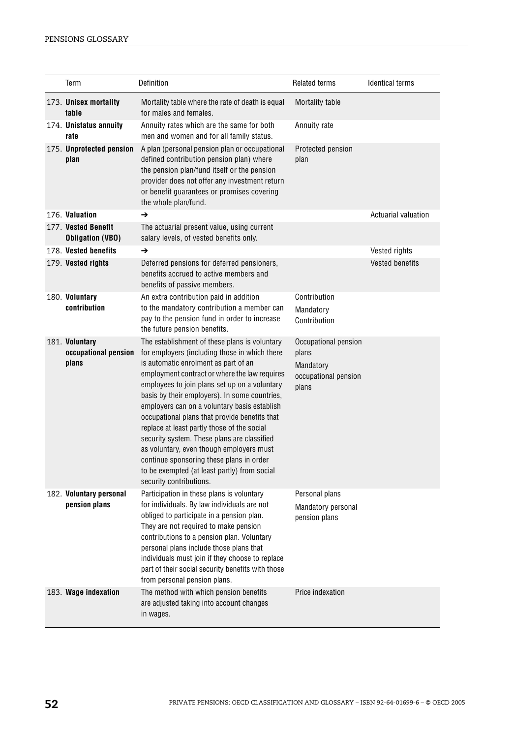| Term                                            | Definition                                                                                                                                                                                                                                                                                                                                                                                                                                                                                                                                                                                                                                                  | <b>Related terms</b>                                                        | <b>Identical terms</b>     |
|-------------------------------------------------|-------------------------------------------------------------------------------------------------------------------------------------------------------------------------------------------------------------------------------------------------------------------------------------------------------------------------------------------------------------------------------------------------------------------------------------------------------------------------------------------------------------------------------------------------------------------------------------------------------------------------------------------------------------|-----------------------------------------------------------------------------|----------------------------|
| 173. Unisex mortality<br>table                  | Mortality table where the rate of death is equal<br>for males and females.                                                                                                                                                                                                                                                                                                                                                                                                                                                                                                                                                                                  | Mortality table                                                             |                            |
| 174. Unistatus annuity<br>rate                  | Annuity rates which are the same for both<br>men and women and for all family status.                                                                                                                                                                                                                                                                                                                                                                                                                                                                                                                                                                       | Annuity rate                                                                |                            |
| 175. Unprotected pension<br>plan                | A plan (personal pension plan or occupational<br>defined contribution pension plan) where<br>the pension plan/fund itself or the pension<br>provider does not offer any investment return<br>or benefit guarantees or promises covering<br>the whole plan/fund.                                                                                                                                                                                                                                                                                                                                                                                             | Protected pension<br>plan                                                   |                            |
| 176. Valuation                                  | $\rightarrow$                                                                                                                                                                                                                                                                                                                                                                                                                                                                                                                                                                                                                                               |                                                                             | <b>Actuarial valuation</b> |
| 177. Vested Benefit<br><b>Obligation (VBO)</b>  | The actuarial present value, using current<br>salary levels, of vested benefits only.                                                                                                                                                                                                                                                                                                                                                                                                                                                                                                                                                                       |                                                                             |                            |
| 178. Vested benefits                            | →                                                                                                                                                                                                                                                                                                                                                                                                                                                                                                                                                                                                                                                           |                                                                             | Vested rights              |
| 179. Vested rights                              | Deferred pensions for deferred pensioners,<br>benefits accrued to active members and<br>benefits of passive members.                                                                                                                                                                                                                                                                                                                                                                                                                                                                                                                                        |                                                                             | <b>Vested benefits</b>     |
| 180. Voluntary                                  | An extra contribution paid in addition                                                                                                                                                                                                                                                                                                                                                                                                                                                                                                                                                                                                                      | Contribution                                                                |                            |
| contribution                                    | to the mandatory contribution a member can<br>pay to the pension fund in order to increase<br>the future pension benefits.                                                                                                                                                                                                                                                                                                                                                                                                                                                                                                                                  | Mandatory<br>Contribution                                                   |                            |
| 181. Voluntary<br>occupational pension<br>plans | The establishment of these plans is voluntary<br>for employers (including those in which there<br>is automatic enrolment as part of an<br>employment contract or where the law requires<br>employees to join plans set up on a voluntary<br>basis by their employers). In some countries,<br>employers can on a voluntary basis establish<br>occupational plans that provide benefits that<br>replace at least partly those of the social<br>security system. These plans are classified<br>as voluntary, even though employers must<br>continue sponsoring these plans in order<br>to be exempted (at least partly) from social<br>security contributions. | Occupational pension<br>plans<br>Mandatory<br>occupational pension<br>plans |                            |
| 182. Voluntary personal<br>pension plans        | Participation in these plans is voluntary<br>for individuals. By law individuals are not<br>obliged to participate in a pension plan.<br>They are not required to make pension<br>contributions to a pension plan. Voluntary<br>personal plans include those plans that<br>individuals must join if they choose to replace<br>part of their social security benefits with those<br>from personal pension plans.                                                                                                                                                                                                                                             | Personal plans<br>Mandatory personal<br>pension plans                       |                            |
| 183. Wage indexation                            | The method with which pension benefits<br>are adjusted taking into account changes<br>in wages.                                                                                                                                                                                                                                                                                                                                                                                                                                                                                                                                                             | Price indexation                                                            |                            |